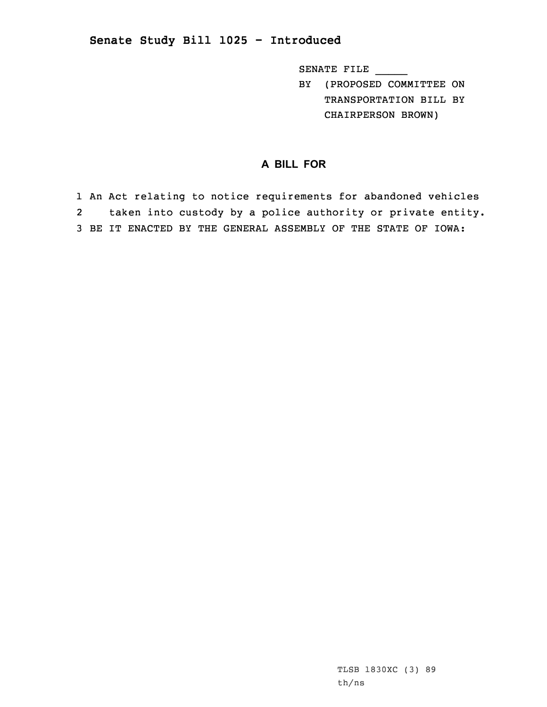## **Senate Study Bill 1025 - Introduced**

SENATE FILE \_\_\_\_\_

BY (PROPOSED COMMITTEE ON TRANSPORTATION BILL BY CHAIRPERSON BROWN)

## **A BILL FOR**

1 An Act relating to notice requirements for abandoned vehicles 2 taken into custody by <sup>a</sup> police authority or private entity. 3 BE IT ENACTED BY THE GENERAL ASSEMBLY OF THE STATE OF IOWA: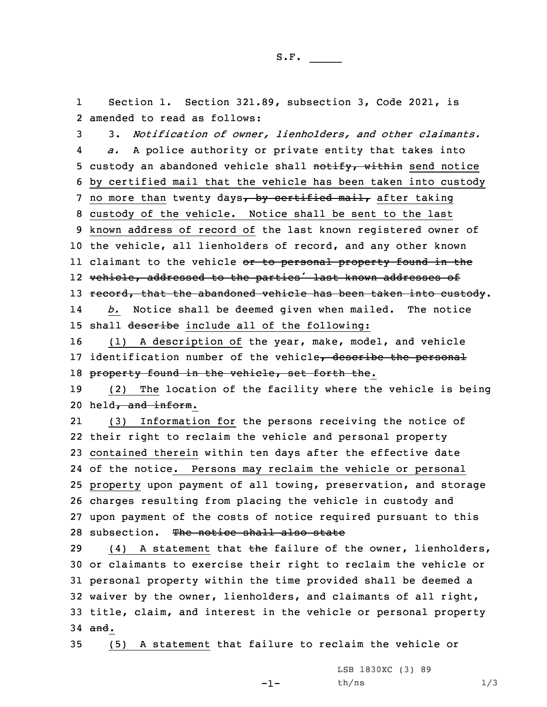1 Section 1. Section 321.89, subsection 3, Code 2021, is 2 amended to read as follows:

3 3. *Notification of owner, lienholders, and other claimants.* 4 *a.* <sup>A</sup> police authority or private entity that takes into 5 custody an abandoned vehicle shall notify, within send notice 6 by certified mail that the vehicle has been taken into custody 7 no more than twenty days, by certified mail, after taking 8 custody of the vehicle. Notice shall be sent to the last 9 known address of record of the last known registered owner of 10 the vehicle, all lienholders of record, and any other known ll claimant to the vehicle <del>or to personal property found in th</del>e 12 vehicle, addressed to the parties' last known addresses of 13 record, that the abandoned vehicle has been taken into custody. 14 *b.* Notice shall be deemed given when mailed. The notice 15 shall describe include all of the following:

16 (1) <sup>A</sup> description of the year, make, model, and vehicle 17 identification number of the vehicle, describe the personal 18 property found in the vehicle, set forth the.

19 (2) The location of the facility where the vehicle is being 20 held, and inform.

21 (3) Information for the persons receiving the notice of their right to reclaim the vehicle and personal property contained therein within ten days after the effective date of the notice. Persons may reclaim the vehicle or personal property upon payment of all towing, preservation, and storage charges resulting from placing the vehicle in custody and upon payment of the costs of notice required pursuant to this 28 subsection. The notice shall also state

29 (4) A statement that  $\frac{1}{2}$  the failure of the owner, lienholders, or claimants to exercise their right to reclaim the vehicle or personal property within the time provided shall be deemed <sup>a</sup> waiver by the owner, lienholders, and claimants of all right, title, claim, and interest in the vehicle or personal property 34 and.

35 (5) <sup>A</sup> statement that failure to reclaim the vehicle or

-1-

LSB 1830XC (3) 89  $th/ns$   $1/3$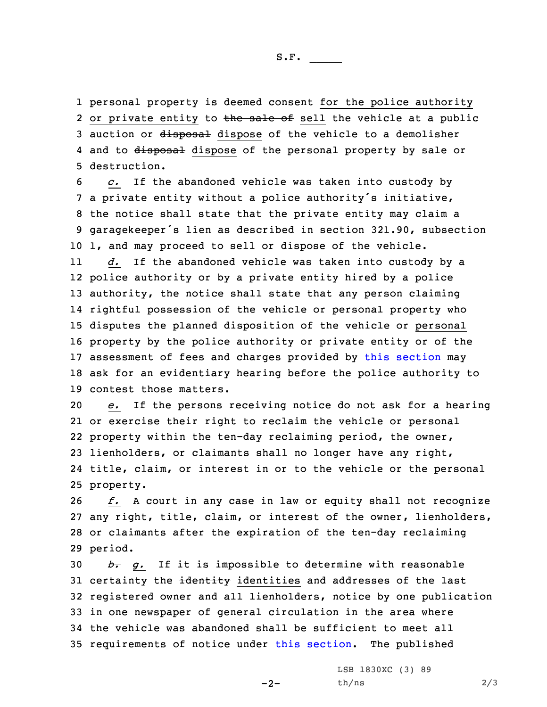S.F.  $\rule{1em}{0.15mm}$ 

1 personal property is deemed consent for the police authority 2 or private entity to the sale of sell the vehicle at a public 3 auction or disposal dispose of the vehicle to a demolisher 4 and to <del>disposal</del> dispose of the personal property by sale or 5 destruction.

 *c.* If the abandoned vehicle was taken into custody by <sup>a</sup> private entity without <sup>a</sup> police authority's initiative, the notice shall state that the private entity may claim <sup>a</sup> garagekeeper's lien as described in section 321.90, subsection 1, and may proceed to sell or dispose of the vehicle.

11 *d.* If the abandoned vehicle was taken into custody by <sup>a</sup> police authority or by <sup>a</sup> private entity hired by <sup>a</sup> police authority, the notice shall state that any person claiming rightful possession of the vehicle or personal property who disputes the planned disposition of the vehicle or personal property by the police authority or private entity or of the assessment of fees and charges provided by this [section](https://www.legis.iowa.gov/docs/code/2021/321.89.pdf) may ask for an evidentiary hearing before the police authority to contest those matters.

 *e.* If the persons receiving notice do not ask for <sup>a</sup> hearing or exercise their right to reclaim the vehicle or personal property within the ten-day reclaiming period, the owner, lienholders, or claimants shall no longer have any right, title, claim, or interest in or to the vehicle or the personal property.

 *f.* <sup>A</sup> court in any case in law or equity shall not recognize any right, title, claim, or interest of the owner, lienholders, or claimants after the expiration of the ten-day reclaiming 29 period.

 *b. g.* If it is impossible to determine with reasonable 31 certainty the identity identities and addresses of the last registered owner and all lienholders, notice by one publication in one newspaper of general circulation in the area where the vehicle was abandoned shall be sufficient to meet all requirements of notice under this [section](https://www.legis.iowa.gov/docs/code/2021/321.89.pdf). The published

 $-2-$ 

LSB 1830XC (3) 89  $th/ns$  2/3